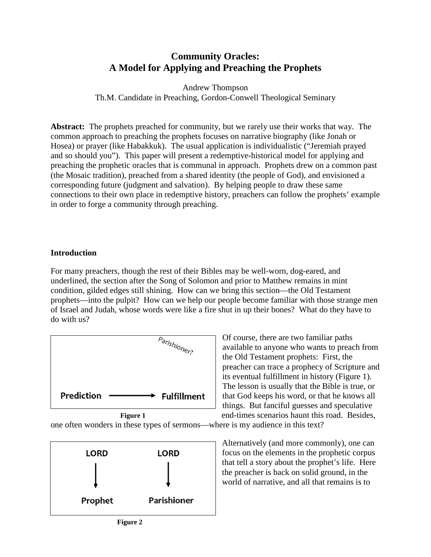# **Community Oracles: A Model for Applying and Preaching the Prophets**

Andrew Thompson Th.M. Candidate in Preaching, Gordon-Conwell Theological Seminary

**Abstract:** The prophets preached for community, but we rarely use their works that way. The common approach to preaching the prophets focuses on narrative biography (like Jonah or Hosea) or prayer (like Habakkuk). The usual application is individualistic ("Jeremiah prayed and so should you"). This paper will present a redemptive-historical model for applying and preaching the prophetic oracles that is communal in approach. Prophets drew on a common past (the Mosaic tradition), preached from a shared identity (the people of God), and envisioned a corresponding future (judgment and salvation). By helping people to draw these same connections to their own place in redemptive history, preachers can follow the prophets' example in order to forge a community through preaching.

### **Introduction**

For many preachers, though the rest of their Bibles may be well-worn, dog-eared, and underlined, the section after the Song of Solomon and prior to Matthew remains in mint condition, gilded edges still shining. How can we bring this section—the Old Testament prophets—into the pulpit? How can we help our people become familiar with those strange men of Israel and Judah, whose words were like a fire shut in up their bones? What do they have to do with us?



Of course, there are two familiar paths available to anyone who wants to preach from the Old Testament prophets: First, the preacher can trace a prophecy of Scripture and its eventual fulfillment in history (Figure 1). The lesson is usually that the Bible is true, or that God keeps his word, or that he knows all things. But fanciful guesses and speculative end-times scenarios haunt this road. Besides,

one often wonders in these types of sermons—where is my audience in this text?



Alternatively (and more commonly), one can focus on the elements in the prophetic corpus that tell a story about the prophet's life. Here the preacher is back on solid ground, in the world of narrative, and all that remains is to

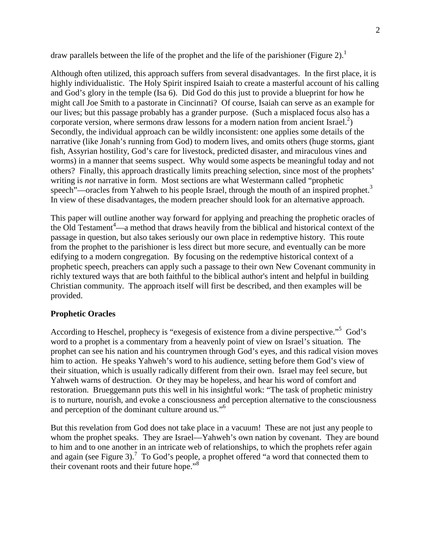draw parallels between the life of the prophet and the life of the parishioner (Figure 2).<sup>1</sup>

Although often utilized, this approach suffers from several disadvantages. In the first place, it is highly individualistic. The Holy Spirit inspired Isaiah to create a masterful account of his calling and God's glory in the temple (Isa 6). Did God do this just to provide a blueprint for how he might call Joe Smith to a pastorate in Cincinnati? Of course, Isaiah can serve as an example for our lives; but this passage probably has a grander purpose. (Such a misplaced focus also has a corporate version, where sermons draw lessons for a modern nation from ancient Israel. $\hat{f}$ ) Secondly, the individual approach can be wildly inconsistent: one applies some details of the narrative (like Jonah's running from God) to modern lives, and omits others (huge storms, giant fish, Assyrian hostility, God's care for livestock, predicted disaster, and miraculous vines and worms) in a manner that seems suspect. Why would some aspects be meaningful today and not others? Finally, this approach drastically limits preaching selection, since most of the prophets' writing is *not* narrative in form. Most sections are what Westermann called "prophetic speech"—oracles from Yahweh to his people Israel, through the mouth of an inspired prophet.<sup>3</sup> In view of these disadvantages, the modern preacher should look for an alternative approach.

This paper will outline another way forward for applying and preaching the prophetic oracles of the Old Testament $4\text{---}$ a method that draws heavily from the biblical and historical context of the passage in question, but also takes seriously our own place in redemptive history. This route from the prophet to the parishioner is less direct but more secure, and eventually can be more edifying to a modern congregation. By focusing on the redemptive historical context of a prophetic speech, preachers can apply such a passage to their own New Covenant community in richly textured ways that are both faithful to the biblical author's intent and helpful in building Christian community. The approach itself will first be described, and then examples will be provided.

# **Prophetic Oracles**

According to Heschel, prophecy is "exegesis of existence from a divine perspective."<sup>5</sup> God's word to a prophet is a commentary from a heavenly point of view on Israel's situation. The prophet can see his nation and his countrymen through God's eyes, and this radical vision moves him to action. He speaks Yahweh's word to his audience, setting before them God's view of their situation, which is usually radically different from their own. Israel may feel secure, but Yahweh warns of destruction. Or they may be hopeless, and hear his word of comfort and restoration. Brueggemann puts this well in his insightful work: "The task of prophetic ministry is to nurture, nourish, and evoke a consciousness and perception alternative to the consciousness and perception of the dominant culture around us."<sup>6</sup>

But this revelation from God does not take place in a vacuum! These are not just any people to whom the prophet speaks. They are Israel—Yahweh's own nation by covenant. They are bound to him and to one another in an intricate web of relationships, to which the prophets refer again and again (see Figure 3).<sup>7</sup> To God's people, a prophet offered "a word that connected them to their covenant roots and their future hope."<sup>8</sup>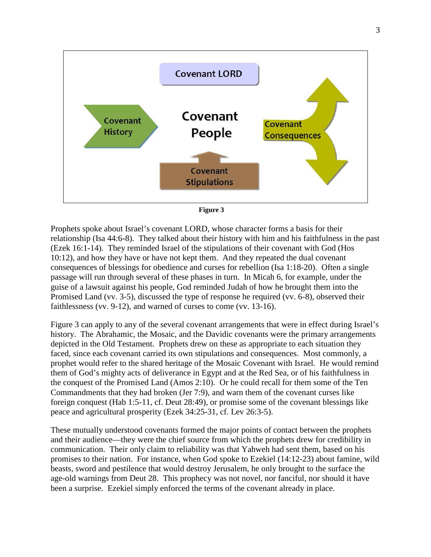



Prophets spoke about Israel's covenant LORD, whose character forms a basis for their relationship (Isa 44:6-8). They talked about their history with him and his faithfulness in the past (Ezek 16:1-14). They reminded Israel of the stipulations of their covenant with God (Hos 10:12), and how they have or have not kept them. And they repeated the dual covenant consequences of blessings for obedience and curses for rebellion (Isa 1:18-20). Often a single passage will run through several of these phases in turn. In Micah 6, for example, under the guise of a lawsuit against his people, God reminded Judah of how he brought them into the Promised Land (vv. 3-5), discussed the type of response he required (vv. 6-8), observed their faithlessness (vv. 9-12), and warned of curses to come (vv. 13-16).

Figure 3 can apply to any of the several covenant arrangements that were in effect during Israel's history. The Abrahamic, the Mosaic, and the Davidic covenants were the primary arrangements depicted in the Old Testament. Prophets drew on these as appropriate to each situation they faced, since each covenant carried its own stipulations and consequences. Most commonly, a prophet would refer to the shared heritage of the Mosaic Covenant with Israel. He would remind them of God's mighty acts of deliverance in Egypt and at the Red Sea, or of his faithfulness in the conquest of the Promised Land (Amos 2:10). Or he could recall for them some of the Ten Commandments that they had broken (Jer 7:9), and warn them of the covenant curses like foreign conquest (Hab 1:5-11, cf. Deut 28:49), or promise some of the covenant blessings like peace and agricultural prosperity (Ezek 34:25-31, cf. Lev 26:3-5).

These mutually understood covenants formed the major points of contact between the prophets and their audience—they were the chief source from which the prophets drew for credibility in communication. Their only claim to reliability was that Yahweh had sent them, based on his promises to their nation. For instance, when God spoke to Ezekiel (14:12-23) about famine, wild beasts, sword and pestilence that would destroy Jerusalem, he only brought to the surface the age-old warnings from Deut 28. This prophecy was not novel, nor fanciful, nor should it have been a surprise. Ezekiel simply enforced the terms of the covenant already in place.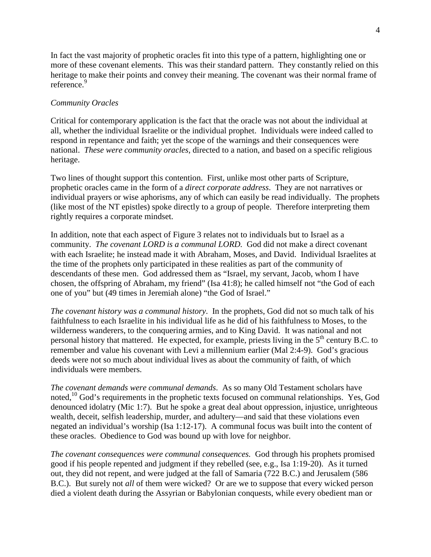In fact the vast majority of prophetic oracles fit into this type of a pattern, highlighting one or more of these covenant elements. This was their standard pattern. They constantly relied on this heritage to make their points and convey their meaning. The covenant was their normal frame of reference.<sup>9</sup>

### *Community Oracles*

Critical for contemporary application is the fact that the oracle was not about the individual at all, whether the individual Israelite or the individual prophet. Individuals were indeed called to respond in repentance and faith; yet the scope of the warnings and their consequences were national. *These were community oracles*, directed to a nation, and based on a specific religious heritage.

Two lines of thought support this contention. First, unlike most other parts of Scripture, prophetic oracles came in the form of a *direct corporate address*. They are not narratives or individual prayers or wise aphorisms, any of which can easily be read individually. The prophets (like most of the NT epistles) spoke directly to a group of people. Therefore interpreting them rightly requires a corporate mindset.

In addition, note that each aspect of Figure 3 relates not to individuals but to Israel as a community. *The covenant LORD is a communal LORD.* God did not make a direct covenant with each Israelite; he instead made it with Abraham, Moses, and David. Individual Israelites at the time of the prophets only participated in these realities as part of the community of descendants of these men. God addressed them as "Israel, my servant, Jacob, whom I have chosen, the offspring of Abraham, my friend" (Isa 41:8); he called himself not "the God of each one of you" but (49 times in Jeremiah alone) "the God of Israel."

*The covenant history was a communal history*. In the prophets, God did not so much talk of his faithfulness to each Israelite in his individual life as he did of his faithfulness to Moses, to the wilderness wanderers, to the conquering armies, and to King David. It was national and not personal history that mattered. He expected, for example, priests living in the  $5<sup>th</sup>$  century B.C. to remember and value his covenant with Levi a millennium earlier (Mal 2:4-9). God's gracious deeds were not so much about individual lives as about the community of faith, of which individuals were members.

*The covenant demands were communal demands*. As so many Old Testament scholars have noted,  $^{10}$  God's requirements in the prophetic texts focused on communal relationships. Yes, God denounced idolatry (Mic 1:7). But he spoke a great deal about oppression, injustice, unrighteous wealth, deceit, selfish leadership, murder, and adultery—and said that these violations even negated an individual's worship (Isa 1:12-17). A communal focus was built into the content of these oracles. Obedience to God was bound up with love for neighbor.

*The covenant consequences were communal consequences.* God through his prophets promised good if his people repented and judgment if they rebelled (see, e.g., Isa 1:19-20). As it turned out, they did not repent, and were judged at the fall of Samaria (722 B.C.) and Jerusalem (586 B.C.). But surely not *all* of them were wicked? Or are we to suppose that every wicked person died a violent death during the Assyrian or Babylonian conquests, while every obedient man or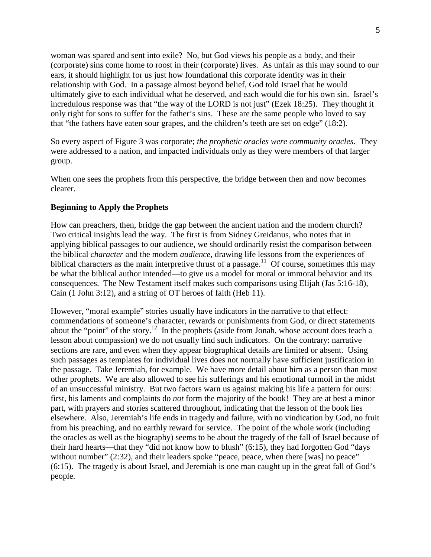woman was spared and sent into exile? No, but God views his people as a body, and their (corporate) sins come home to roost in their (corporate) lives. As unfair as this may sound to our ears, it should highlight for us just how foundational this corporate identity was in their relationship with God. In a passage almost beyond belief, God told Israel that he would ultimately give to each individual what he deserved, and each would die for his own sin. Israel's incredulous response was that "the way of the LORD is not just" (Ezek 18:25). They thought it only right for sons to suffer for the father's sins. These are the same people who loved to say that "the fathers have eaten sour grapes, and the children's teeth are set on edge" (18:2).

So every aspect of Figure 3 was corporate; *the prophetic oracles were community oracles*. They were addressed to a nation, and impacted individuals only as they were members of that larger group.

When one sees the prophets from this perspective, the bridge between then and now becomes clearer.

### **Beginning to Apply the Prophets**

How can preachers, then, bridge the gap between the ancient nation and the modern church? Two critical insights lead the way. The first is from Sidney Greidanus, who notes that in applying biblical passages to our audience, we should ordinarily resist the comparison between the biblical *character* and the modern *audience*, drawing life lessons from the experiences of biblical characters as the main interpretive thrust of a passage.<sup>11</sup> Of course, sometimes this may be what the biblical author intended—to give us a model for moral or immoral behavior and its consequences. The New Testament itself makes such comparisons using Elijah (Jas 5:16-18), Cain (1 John 3:12), and a string of OT heroes of faith (Heb 11).

However, "moral example" stories usually have indicators in the narrative to that effect: commendations of someone's character, rewards or punishments from God, or direct statements about the "point" of the story.<sup>12</sup> In the prophets (aside from Jonah, whose account does teach a lesson about compassion) we do not usually find such indicators. On the contrary: narrative sections are rare, and even when they appear biographical details are limited or absent. Using such passages as templates for individual lives does not normally have sufficient justification in the passage. Take Jeremiah, for example. We have more detail about him as a person than most other prophets. We are also allowed to see his sufferings and his emotional turmoil in the midst of an unsuccessful ministry. But two factors warn us against making his life a pattern for ours: first, his laments and complaints do *not* form the majority of the book! They are at best a minor part, with prayers and stories scattered throughout, indicating that the lesson of the book lies elsewhere. Also, Jeremiah's life ends in tragedy and failure, with no vindication by God, no fruit from his preaching, and no earthly reward for service. The point of the whole work (including the oracles as well as the biography) seems to be about the tragedy of the fall of Israel because of their hard hearts—that they "did not know how to blush" (6:15), they had forgotten God "days without number" (2:32), and their leaders spoke "peace, peace, when there [was] no peace" (6:15). The tragedy is about Israel, and Jeremiah is one man caught up in the great fall of God's people.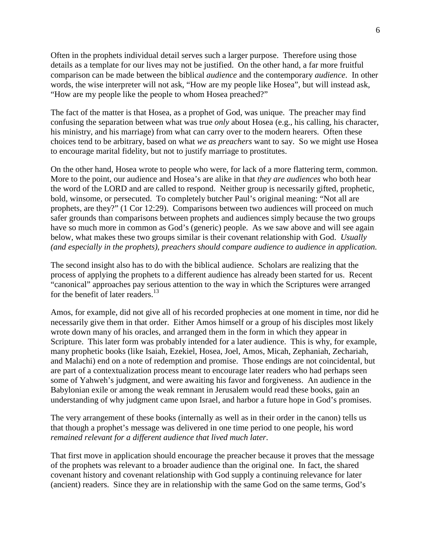Often in the prophets individual detail serves such a larger purpose. Therefore using those details as a template for our lives may not be justified. On the other hand, a far more fruitful comparison can be made between the biblical *audience* and the contemporary *audience*. In other words, the wise interpreter will not ask, "How are my people like Hosea", but will instead ask, "How are my people like the people to whom Hosea preached?"

The fact of the matter is that Hosea, as a prophet of God, was unique. The preacher may find confusing the separation between what was true *only* about Hosea (e.g., his calling, his character, his ministry, and his marriage) from what can carry over to the modern hearers. Often these choices tend to be arbitrary, based on what *we as preachers* want to say. So we might use Hosea to encourage marital fidelity, but not to justify marriage to prostitutes.

On the other hand, Hosea wrote to people who were, for lack of a more flattering term, common. More to the point, our audience and Hosea's are alike in that *they are audiences* who both hear the word of the LORD and are called to respond. Neither group is necessarily gifted, prophetic, bold, winsome, or persecuted. To completely butcher Paul's original meaning: "Not all are prophets, are they?" (1 Cor 12:29). Comparisons between two audiences will proceed on much safer grounds than comparisons between prophets and audiences simply because the two groups have so much more in common as God's (generic) people. As we saw above and will see again below, what makes these two groups similar is their covenant relationship with God. *Usually (and especially in the prophets), preachers should compare audience to audience in application.* 

The second insight also has to do with the biblical audience. Scholars are realizing that the process of applying the prophets to a different audience has already been started for us. Recent "canonical" approaches pay serious attention to the way in which the Scriptures were arranged for the benefit of later readers.<sup>13</sup>

Amos, for example, did not give all of his recorded prophecies at one moment in time, nor did he necessarily give them in that order. Either Amos himself or a group of his disciples most likely wrote down many of his oracles, and arranged them in the form in which they appear in Scripture. This later form was probably intended for a later audience. This is why, for example, many prophetic books (like Isaiah, Ezekiel, Hosea, Joel, Amos, Micah, Zephaniah, Zechariah, and Malachi) end on a note of redemption and promise. Those endings are not coincidental, but are part of a contextualization process meant to encourage later readers who had perhaps seen some of Yahweh's judgment, and were awaiting his favor and forgiveness. An audience in the Babylonian exile or among the weak remnant in Jerusalem would read these books, gain an understanding of why judgment came upon Israel, and harbor a future hope in God's promises.

The very arrangement of these books (internally as well as in their order in the canon) tells us that though a prophet's message was delivered in one time period to one people, his word *remained relevant for a different audience that lived much later*.

That first move in application should encourage the preacher because it proves that the message of the prophets was relevant to a broader audience than the original one. In fact, the shared covenant history and covenant relationship with God supply a continuing relevance for later (ancient) readers. Since they are in relationship with the same God on the same terms, God's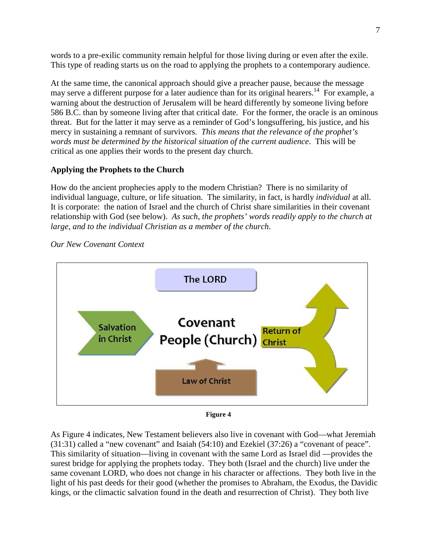words to a pre-exilic community remain helpful for those living during or even after the exile. This type of reading starts us on the road to applying the prophets to a contemporary audience.

At the same time, the canonical approach should give a preacher pause, because the message may serve a different purpose for a later audience than for its original hearers.<sup>14</sup> For example, a warning about the destruction of Jerusalem will be heard differently by someone living before 586 B.C. than by someone living after that critical date. For the former, the oracle is an ominous threat. But for the latter it may serve as a reminder of God's longsuffering, his justice, and his mercy in sustaining a remnant of survivors. *This means that the relevance of the prophet's words must be determined by the historical situation of the current audience*. This will be critical as one applies their words to the present day church.

# **Applying the Prophets to the Church**

How do the ancient prophecies apply to the modern Christian? There is no similarity of individual language, culture, or life situation. The similarity, in fact, is hardly *individual* at all. It is corporate: the nation of Israel and the church of Christ share similarities in their covenant relationship with God (see below). *As such, the prophets' words readily apply to the church at large, and to the individual Christian as a member of the church*.



### *Our New Covenant Context*

**Figure 4** 

As Figure 4 indicates, New Testament believers also live in covenant with God—what Jeremiah (31:31) called a "new covenant" and Isaiah (54:10) and Ezekiel (37:26) a "covenant of peace". This similarity of situation—living in covenant with the same Lord as Israel did —provides the surest bridge for applying the prophets today. They both (Israel and the church) live under the same covenant LORD, who does not change in his character or affections. They both live in the light of his past deeds for their good (whether the promises to Abraham, the Exodus, the Davidic kings, or the climactic salvation found in the death and resurrection of Christ). They both live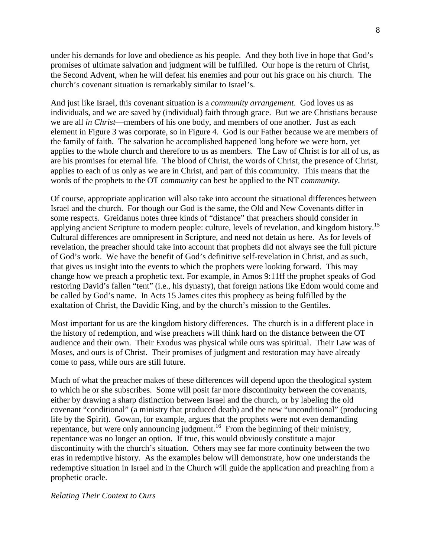under his demands for love and obedience as his people. And they both live in hope that God's promises of ultimate salvation and judgment will be fulfilled. Our hope is the return of Christ, the Second Advent, when he will defeat his enemies and pour out his grace on his church. The church's covenant situation is remarkably similar to Israel's.

And just like Israel, this covenant situation is a *community arrangement*. God loves us as individuals, and we are saved by (individual) faith through grace. But we are Christians because we are all *in Christ*—members of his one body, and members of one another. Just as each element in Figure 3 was corporate, so in Figure 4. God is our Father because we are members of the family of faith. The salvation he accomplished happened long before we were born, yet applies to the whole church and therefore to us as members. The Law of Christ is for all of us, as are his promises for eternal life. The blood of Christ, the words of Christ, the presence of Christ, applies to each of us only as we are in Christ, and part of this community. This means that the words of the prophets to the OT *community* can best be applied to the NT *community*.

Of course, appropriate application will also take into account the situational differences between Israel and the church. For though our God is the same, the Old and New Covenants differ in some respects. Greidanus notes three kinds of "distance" that preachers should consider in applying ancient Scripture to modern people: culture, levels of revelation, and kingdom history.<sup>15</sup> Cultural differences are omnipresent in Scripture, and need not detain us here. As for levels of revelation, the preacher should take into account that prophets did not always see the full picture of God's work. We have the benefit of God's definitive self-revelation in Christ, and as such, that gives us insight into the events to which the prophets were looking forward. This may change how we preach a prophetic text. For example, in Amos 9:11ff the prophet speaks of God restoring David's fallen "tent" (i.e., his dynasty), that foreign nations like Edom would come and be called by God's name. In Acts 15 James cites this prophecy as being fulfilled by the exaltation of Christ, the Davidic King, and by the church's mission to the Gentiles.

Most important for us are the kingdom history differences. The church is in a different place in the history of redemption, and wise preachers will think hard on the distance between the OT audience and their own. Their Exodus was physical while ours was spiritual. Their Law was of Moses, and ours is of Christ. Their promises of judgment and restoration may have already come to pass, while ours are still future.

Much of what the preacher makes of these differences will depend upon the theological system to which he or she subscribes. Some will posit far more discontinuity between the covenants, either by drawing a sharp distinction between Israel and the church, or by labeling the old covenant "conditional" (a ministry that produced death) and the new "unconditional" (producing life by the Spirit). Gowan, for example, argues that the prophets were not even demanding repentance, but were only announcing judgment.<sup>16</sup> From the beginning of their ministry, repentance was no longer an option. If true, this would obviously constitute a major discontinuity with the church's situation. Others may see far more continuity between the two eras in redemptive history. As the examples below will demonstrate, how one understands the redemptive situation in Israel and in the Church will guide the application and preaching from a prophetic oracle.

#### *Relating Their Context to Ours*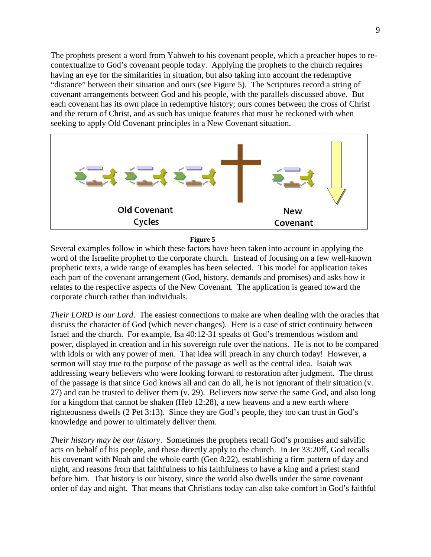The prophets present a word from Yahweh to his covenant people, which a preacher hopes to recontextualize to God's covenant people today. Applying the prophets to the church requires having an eye for the similarities in situation, but also taking into account the redemptive "distance" between their situation and ours (see Figure 5). The Scriptures record a string of covenant arrangements between God and his people, with the parallels discussed above. But each covenant has its own place in redemptive history; ours comes between the cross of Christ and the return of Christ, and as such has unique features that must be reckoned with when seeking to apply Old Covenant principles in a New Covenant situation.



#### **Figure 5**

Several examples follow in which these factors have been taken into account in applying the word of the Israelite prophet to the corporate church. Instead of focusing on a few well-known prophetic texts, a wide range of examples has been selected. This model for application takes each part of the covenant arrangement (God, history, demands and promises) and asks how it relates to the respective aspects of the New Covenant. The application is geared toward the corporate church rather than individuals.

*Their LORD is our Lord*. The easiest connections to make are when dealing with the oracles that discuss the character of God (which never changes). Here is a case of strict continuity between Israel and the church. For example, Isa 40:12-31 speaks of God's tremendous wisdom and power, displayed in creation and in his sovereign rule over the nations. He is not to be compared with idols or with any power of men. That idea will preach in any church today! However, a sermon will stay true to the purpose of the passage as well as the central idea. Isaiah was addressing weary believers who were looking forward to restoration after judgment. The thrust of the passage is that since God knows all and can do all, he is not ignorant of their situation (v. 27) and can be trusted to deliver them (v. 29). Believers now serve the same God, and also long for a kingdom that cannot be shaken (Heb 12:28), a new heavens and a new earth where righteousness dwells (2 Pet 3:13). Since they are God's people, they too can trust in God's knowledge and power to ultimately deliver them.

*Their history may be our history*. Sometimes the prophets recall God's promises and salvific acts on behalf of his people, and these directly apply to the church. In Jer 33:20ff, God recalls his covenant with Noah and the whole earth (Gen 8:22), establishing a firm pattern of day and night, and reasons from that faithfulness to his faithfulness to have a king and a priest stand before him. That history is our history, since the world also dwells under the same covenant order of day and night. That means that Christians today can also take comfort in God's faithful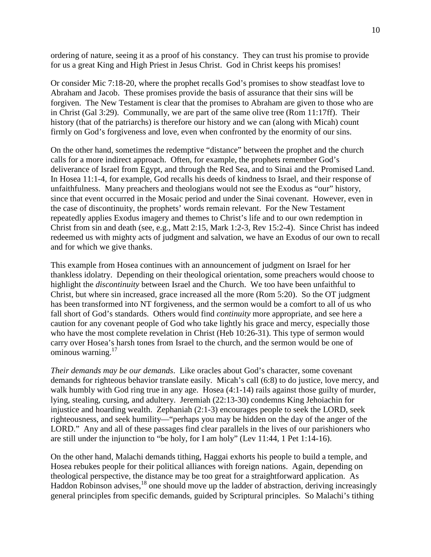ordering of nature, seeing it as a proof of his constancy. They can trust his promise to provide for us a great King and High Priest in Jesus Christ. God in Christ keeps his promises!

Or consider Mic 7:18-20, where the prophet recalls God's promises to show steadfast love to Abraham and Jacob. These promises provide the basis of assurance that their sins will be forgiven. The New Testament is clear that the promises to Abraham are given to those who are in Christ (Gal 3:29). Communally, we are part of the same olive tree (Rom 11:17ff). Their history (that of the patriarchs) is therefore our history and we can (along with Micah) count firmly on God's forgiveness and love, even when confronted by the enormity of our sins.

On the other hand, sometimes the redemptive "distance" between the prophet and the church calls for a more indirect approach. Often, for example, the prophets remember God's deliverance of Israel from Egypt, and through the Red Sea, and to Sinai and the Promised Land. In Hosea 11:1-4, for example, God recalls his deeds of kindness to Israel, and their response of unfaithfulness. Many preachers and theologians would not see the Exodus as "our" history, since that event occurred in the Mosaic period and under the Sinai covenant. However, even in the case of discontinuity, the prophets' words remain relevant. For the New Testament repeatedly applies Exodus imagery and themes to Christ's life and to our own redemption in Christ from sin and death (see, e.g., Matt 2:15, Mark 1:2-3, Rev 15:2-4). Since Christ has indeed redeemed us with mighty acts of judgment and salvation, we have an Exodus of our own to recall and for which we give thanks.

This example from Hosea continues with an announcement of judgment on Israel for her thankless idolatry. Depending on their theological orientation, some preachers would choose to highlight the *discontinuity* between Israel and the Church. We too have been unfaithful to Christ, but where sin increased, grace increased all the more (Rom 5:20). So the OT judgment has been transformed into NT forgiveness, and the sermon would be a comfort to all of us who fall short of God's standards. Others would find *continuity* more appropriate, and see here a caution for any covenant people of God who take lightly his grace and mercy, especially those who have the most complete revelation in Christ (Heb 10:26-31). This type of sermon would carry over Hosea's harsh tones from Israel to the church, and the sermon would be one of ominous warning.<sup>17</sup>

*Their demands may be our demands*. Like oracles about God's character, some covenant demands for righteous behavior translate easily. Micah's call (6:8) to do justice, love mercy, and walk humbly with God ring true in any age. Hosea (4:1-14) rails against those guilty of murder, lying, stealing, cursing, and adultery. Jeremiah (22:13-30) condemns King Jehoiachin for injustice and hoarding wealth. Zephaniah (2:1-3) encourages people to seek the LORD, seek righteousness, and seek humility—"perhaps you may be hidden on the day of the anger of the LORD." Any and all of these passages find clear parallels in the lives of our parishioners who are still under the injunction to "be holy, for I am holy" (Lev 11:44, 1 Pet 1:14-16).

On the other hand, Malachi demands tithing, Haggai exhorts his people to build a temple, and Hosea rebukes people for their political alliances with foreign nations. Again, depending on theological perspective, the distance may be too great for a straightforward application. As Haddon Robinson advises,<sup>18</sup> one should move up the ladder of abstraction, deriving increasingly general principles from specific demands, guided by Scriptural principles. So Malachi's tithing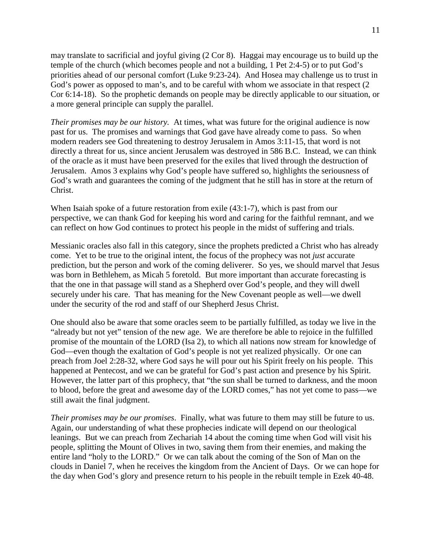may translate to sacrificial and joyful giving (2 Cor 8). Haggai may encourage us to build up the temple of the church (which becomes people and not a building, 1 Pet 2:4-5) or to put God's priorities ahead of our personal comfort (Luke 9:23-24). And Hosea may challenge us to trust in God's power as opposed to man's, and to be careful with whom we associate in that respect (2) Cor 6:14-18). So the prophetic demands on people may be directly applicable to our situation, or a more general principle can supply the parallel.

*Their promises may be our history.* At times, what was future for the original audience is now past for us. The promises and warnings that God gave have already come to pass. So when modern readers see God threatening to destroy Jerusalem in Amos 3:11-15, that word is not directly a threat for us, since ancient Jerusalem was destroyed in 586 B.C. Instead, we can think of the oracle as it must have been preserved for the exiles that lived through the destruction of Jerusalem. Amos 3 explains why God's people have suffered so, highlights the seriousness of God's wrath and guarantees the coming of the judgment that he still has in store at the return of Christ.

When Isaiah spoke of a future restoration from exile (43:1-7), which is past from our perspective, we can thank God for keeping his word and caring for the faithful remnant, and we can reflect on how God continues to protect his people in the midst of suffering and trials.

Messianic oracles also fall in this category, since the prophets predicted a Christ who has already come. Yet to be true to the original intent, the focus of the prophecy was not *just* accurate prediction, but the person and work of the coming deliverer. So yes, we should marvel that Jesus was born in Bethlehem, as Micah 5 foretold. But more important than accurate forecasting is that the one in that passage will stand as a Shepherd over God's people, and they will dwell securely under his care. That has meaning for the New Covenant people as well—we dwell under the security of the rod and staff of our Shepherd Jesus Christ.

One should also be aware that some oracles seem to be partially fulfilled, as today we live in the "already but not yet" tension of the new age. We are therefore be able to rejoice in the fulfilled promise of the mountain of the LORD (Isa 2), to which all nations now stream for knowledge of God—even though the exaltation of God's people is not yet realized physically. Or one can preach from Joel 2:28-32, where God says he will pour out his Spirit freely on his people. This happened at Pentecost, and we can be grateful for God's past action and presence by his Spirit. However, the latter part of this prophecy, that "the sun shall be turned to darkness, and the moon to blood, before the great and awesome day of the LORD comes," has not yet come to pass—we still await the final judgment.

*Their promises may be our promises*. Finally, what was future to them may still be future to us. Again, our understanding of what these prophecies indicate will depend on our theological leanings. But we can preach from Zechariah 14 about the coming time when God will visit his people, splitting the Mount of Olives in two, saving them from their enemies, and making the entire land "holy to the LORD." Or we can talk about the coming of the Son of Man on the clouds in Daniel 7, when he receives the kingdom from the Ancient of Days. Or we can hope for the day when God's glory and presence return to his people in the rebuilt temple in Ezek 40-48.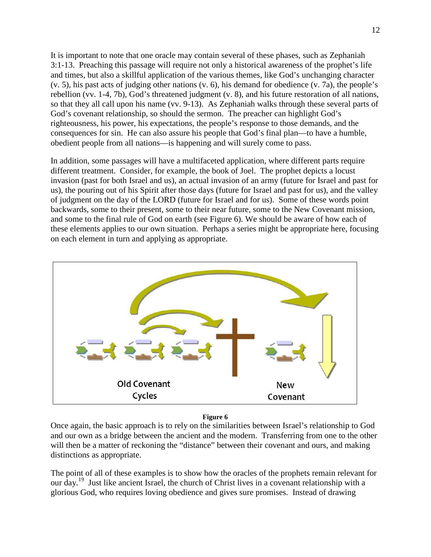It is important to note that one oracle may contain several of these phases, such as Zephaniah 3:1-13. Preaching this passage will require not only a historical awareness of the prophet's life and times, but also a skillful application of the various themes, like God's unchanging character (v. 5), his past acts of judging other nations (v. 6), his demand for obedience (v. 7a), the people's rebellion (vv. 1-4, 7b), God's threatened judgment (v. 8), and his future restoration of all nations, so that they all call upon his name (vv. 9-13). As Zephaniah walks through these several parts of God's covenant relationship, so should the sermon. The preacher can highlight God's righteousness, his power, his expectations, the people's response to those demands, and the consequences for sin. He can also assure his people that God's final plan—to have a humble, obedient people from all nations—is happening and will surely come to pass.

In addition, some passages will have a multifaceted application, where different parts require different treatment. Consider, for example, the book of Joel. The prophet depicts a locust invasion (past for both Israel and us), an actual invasion of an army (future for Israel and past for us), the pouring out of his Spirit after those days (future for Israel and past for us), and the valley of judgment on the day of the LORD (future for Israel and for us). Some of these words point backwards, some to their present, some to their near future, some to the New Covenant mission, and some to the final rule of God on earth (see Figure 6). We should be aware of how each of these elements applies to our own situation. Perhaps a series might be appropriate here, focusing on each element in turn and applying as appropriate.



#### **Figure 6**

Once again, the basic approach is to rely on the similarities between Israel's relationship to God and our own as a bridge between the ancient and the modern. Transferring from one to the other will then be a matter of reckoning the "distance" between their covenant and ours, and making distinctions as appropriate.

The point of all of these examples is to show how the oracles of the prophets remain relevant for our day.<sup>19</sup> Just like ancient Israel, the church of Christ lives in a covenant relationship with a glorious God, who requires loving obedience and gives sure promises. Instead of drawing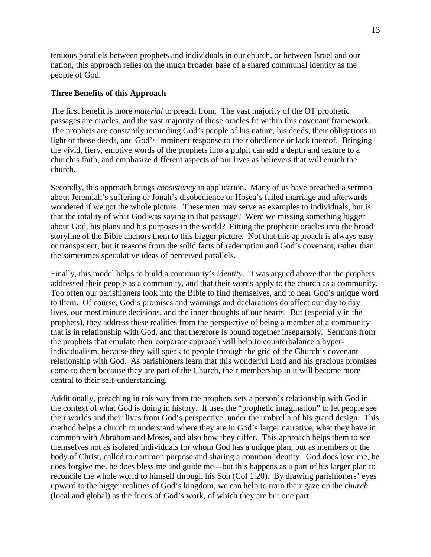tenuous parallels between prophets and individuals in our church, or between Israel and our nation, this approach relies on the much broader base of a shared communal identity as the people of God.

### **Three Benefits of this Approach**

The first benefit is more *material* to preach from*.* The vast majority of the OT prophetic passages are oracles, and the vast majority of those oracles fit within this covenant framework. The prophets are constantly reminding God's people of his nature, his deeds, their obligations in light of those deeds, and God's imminent response to their obedience or lack thereof. Bringing the vivid, fiery, emotive words of the prophets into a pulpit can add a depth and texture to a church's faith, and emphasize different aspects of our lives as believers that will enrich the church.

Secondly, this approach brings *consistency* in application. Many of us have preached a sermon about Jeremiah's suffering or Jonah's disobedience or Hosea's failed marriage and afterwards wondered if we got the whole picture. These men may serve as examples to individuals, but is that the totality of what God was saying in that passage? Were we missing something bigger about God, his plans and his purposes in the world? Fitting the prophetic oracles into the broad storyline of the Bible anchors them to this bigger picture. Not that this approach is always easy or transparent, but it reasons from the solid facts of redemption and God's covenant, rather than the sometimes speculative ideas of perceived parallels.

Finally, this model helps to build a community's *identity*. It was argued above that the prophets addressed their people as a community, and that their words apply to the church as a community. Too often our parishioners look into the Bible to find themselves, and to hear God's unique word to them. Of course, God's promises and warnings and declarations do affect our day to day lives, our most minute decisions, and the inner thoughts of our hearts. But (especially in the prophets), they address these realities from the perspective of being a member of a community that is in relationship with God, and that therefore is bound together inseparably. Sermons from the prophets that emulate their corporate approach will help to counterbalance a hyperindividualism, because they will speak to people through the grid of the Church's covenant relationship with God. As parishioners learn that this wonderful Lord and his gracious promises come to them because they are part of the Church, their membership in it will become more central to their self-understanding.

Additionally, preaching in this way from the prophets sets a person's relationship with God in the context of what God is doing in history. It uses the "prophetic imagination" to let people see their worlds and their lives from God's perspective, under the umbrella of his grand design. This method helps a church to understand where they are in God's larger narrative, what they have in common with Abraham and Moses, and also how they differ. This approach helps them to see themselves not as isolated individuals for whom God has a unique plan, but as members of the body of Christ, called to common purpose and sharing a common identity. God does love me, he does forgive me, he does bless me and guide me—but this happens as a part of his larger plan to reconcile the whole world to himself through his Son (Col 1:20). By drawing parishioners' eyes upward to the bigger realities of God's kingdom, we can help to train their gaze on the *church* (local and global) as the focus of God's work, of which they are but one part.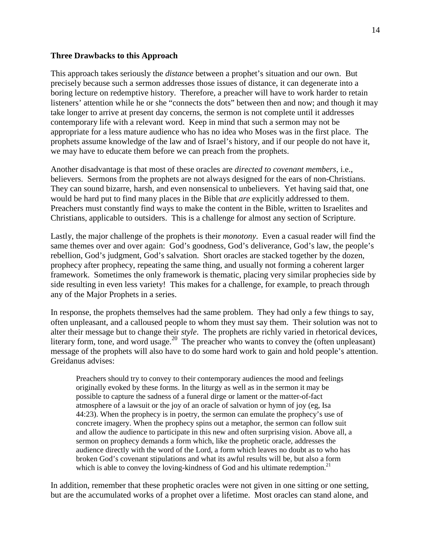#### **Three Drawbacks to this Approach**

This approach takes seriously the *distance* between a prophet's situation and our own. But precisely because such a sermon addresses those issues of distance, it can degenerate into a boring lecture on redemptive history. Therefore, a preacher will have to work harder to retain listeners' attention while he or she "connects the dots" between then and now; and though it may take longer to arrive at present day concerns, the sermon is not complete until it addresses contemporary life with a relevant word. Keep in mind that such a sermon may not be appropriate for a less mature audience who has no idea who Moses was in the first place. The prophets assume knowledge of the law and of Israel's history, and if our people do not have it, we may have to educate them before we can preach from the prophets.

Another disadvantage is that most of these oracles are *directed to covenant members*, i.e., believers. Sermons from the prophets are not always designed for the ears of non-Christians. They can sound bizarre, harsh, and even nonsensical to unbelievers. Yet having said that, one would be hard put to find many places in the Bible that *are* explicitly addressed to them. Preachers must constantly find ways to make the content in the Bible, written to Israelites and Christians, applicable to outsiders. This is a challenge for almost any section of Scripture.

Lastly, the major challenge of the prophets is their *monotony*. Even a casual reader will find the same themes over and over again: God's goodness, God's deliverance, God's law, the people's rebellion, God's judgment, God's salvation. Short oracles are stacked together by the dozen, prophecy after prophecy, repeating the same thing, and usually not forming a coherent larger framework. Sometimes the only framework is thematic, placing very similar prophecies side by side resulting in even less variety! This makes for a challenge, for example, to preach through any of the Major Prophets in a series.

In response, the prophets themselves had the same problem. They had only a few things to say, often unpleasant, and a calloused people to whom they must say them. Their solution was not to alter their message but to change their *style*. The prophets are richly varied in rhetorical devices, literary form, tone, and word usage.<sup>20</sup> The preacher who wants to convey the (often unpleasant) message of the prophets will also have to do some hard work to gain and hold people's attention. Greidanus advises:

Preachers should try to convey to their contemporary audiences the mood and feelings originally evoked by these forms. In the liturgy as well as in the sermon it may be possible to capture the sadness of a funeral dirge or lament or the matter-of-fact atmosphere of a lawsuit or the joy of an oracle of salvation or hymn of joy (eg, Isa 44:23). When the prophecy is in poetry, the sermon can emulate the prophecy's use of concrete imagery. When the prophecy spins out a metaphor, the sermon can follow suit and allow the audience to participate in this new and often surprising vision. Above all, a sermon on prophecy demands a form which, like the prophetic oracle, addresses the audience directly with the word of the Lord, a form which leaves no doubt as to who has broken God's covenant stipulations and what its awful results will be, but also a form which is able to convey the loving-kindness of God and his ultimate redemption.<sup>21</sup>

In addition, remember that these prophetic oracles were not given in one sitting or one setting, but are the accumulated works of a prophet over a lifetime. Most oracles can stand alone, and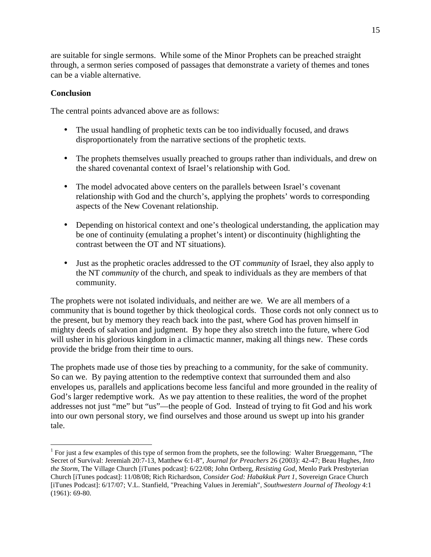are suitable for single sermons. While some of the Minor Prophets can be preached straight through, a sermon series composed of passages that demonstrate a variety of themes and tones can be a viable alternative.

### **Conclusion**

<u>.</u>

The central points advanced above are as follows:

- The usual handling of prophetic texts can be too individually focused, and draws disproportionately from the narrative sections of the prophetic texts.
- The prophets themselves usually preached to groups rather than individuals, and drew on the shared covenantal context of Israel's relationship with God.
- The model advocated above centers on the parallels between Israel's covenant relationship with God and the church's, applying the prophets' words to corresponding aspects of the New Covenant relationship.
- Depending on historical context and one's theological understanding, the application may be one of continuity (emulating a prophet's intent) or discontinuity (highlighting the contrast between the OT and NT situations).
- Just as the prophetic oracles addressed to the OT *community* of Israel, they also apply to the NT *community* of the church, and speak to individuals as they are members of that community.

The prophets were not isolated individuals, and neither are we. We are all members of a community that is bound together by thick theological cords. Those cords not only connect us to the present, but by memory they reach back into the past, where God has proven himself in mighty deeds of salvation and judgment. By hope they also stretch into the future, where God will usher in his glorious kingdom in a climactic manner, making all things new. These cords provide the bridge from their time to ours.

The prophets made use of those ties by preaching to a community, for the sake of community. So can we. By paying attention to the redemptive context that surrounded them and also envelopes us, parallels and applications become less fanciful and more grounded in the reality of God's larger redemptive work. As we pay attention to these realities, the word of the prophet addresses not just "me" but "us"—the people of God. Instead of trying to fit God and his work into our own personal story, we find ourselves and those around us swept up into his grander tale.

<sup>&</sup>lt;sup>1</sup> For just a few examples of this type of sermon from the prophets, see the following: Walter Brueggemann, "The Secret of Survival: Jeremiah 20:7-13, Matthew 6:1-8", *Journal for Preachers* 26 (2003): 42-47; Beau Hughes, *Into the Storm,* The Village Church [iTunes podcast]: 6/22/08; John Ortberg, *Resisting God*, Menlo Park Presbyterian Church [iTunes podcast]: 11/08/08; Rich Richardson, *Consider God: Habakkuk Part 1*, Sovereign Grace Church [iTunes Podcast]: 6/17/07; V.L. Stanfield, "Preaching Values in Jeremiah", *Southwestern Journal of Theology* 4:1 (1961): 69-80.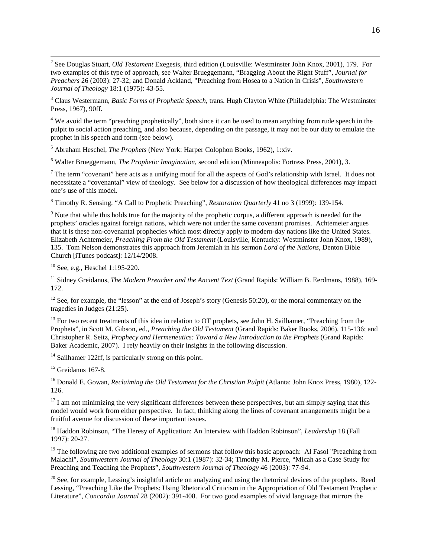2 See Douglas Stuart, *Old Testament* Exegesis, third edition (Louisville: Westminster John Knox, 2001), 179. For two examples of this type of approach, see Walter Brueggemann, "Bragging About the Right Stuff", *Journal for Preachers* 26 (2003): 27-32; and Donald Ackland, "Preaching from Hosea to a Nation in Crisis", *Southwestern Journal of Theology* 18:1 (1975): 43-55.

3 Claus Westermann, *Basic Forms of Prophetic Speech*, trans. Hugh Clayton White (Philadelphia: The Westminster Press, 1967), 90ff.

<sup>4</sup> We avoid the term "preaching prophetically", both since it can be used to mean anything from rude speech in the pulpit to social action preaching, and also because, depending on the passage, it may not be our duty to emulate the prophet in his speech and form (see below).

5 Abraham Heschel, *The Prophets* (New York: Harper Colophon Books, 1962), 1:xiv.

6 Walter Brueggemann, *The Prophetic Imagination*, second edition (Minneapolis: Fortress Press, 2001), 3.

 $<sup>7</sup>$  The term "covenant" here acts as a unifying motif for all the aspects of God's relationship with Israel. It does not</sup> necessitate a "covenantal" view of theology. See below for a discussion of how theological differences may impact one's use of this model.

8 Timothy R. Sensing, "A Call to Prophetic Preaching", *Restoration Quarterly* 41 no 3 (1999): 139-154.

 $9$  Note that while this holds true for the majority of the prophetic corpus, a different approach is needed for the prophets' oracles against foreign nations, which were not under the same covenant promises. Achtemeier argues that it is these non-covenantal prophecies which most directly apply to modern-day nations like the United States. Elizabeth Achtemeier, *Preaching From the Old Testament* (Louisville, Kentucky: Westminster John Knox, 1989), 135. Tom Nelson demonstrates this approach from Jeremiah in his sermon *Lord of the Nations*, Denton Bible Church [iTunes podcast]: 12/14/2008.

<sup>10</sup> See, e.g., Heschel 1:195-220.

<sup>11</sup> Sidney Greidanus, *The Modern Preacher and the Ancient Text* (Grand Rapids: William B. Eerdmans, 1988), 169-172.

<sup>12</sup> See, for example, the "lesson" at the end of Joseph's story (Genesis 50:20), or the moral commentary on the tragedies in Judges (21:25).

<sup>13</sup> For two recent treatments of this idea in relation to OT prophets, see John H. Sailhamer, "Preaching from the Prophets", in Scott M. Gibson, ed., *Preaching the Old Testament* (Grand Rapids: Baker Books, 2006), 115-136; and Christopher R. Seitz, *Prophecy and Hermeneutics: Toward a New Introduction to the Prophets* (Grand Rapids: Baker Academic, 2007). I rely heavily on their insights in the following discussion.

<sup>14</sup> Sailhamer 122ff, is particularly strong on this point.

 $15$  Greidanus 167-8.

<sup>16</sup> Donald E. Gowan, *Reclaiming the Old Testament for the Christian Pulpit* (Atlanta: John Knox Press, 1980), 122-126.

 $17$  I am not minimizing the very significant differences between these perspectives, but am simply saying that this model would work from either perspective. In fact, thinking along the lines of covenant arrangements might be a fruitful avenue for discussion of these important issues.

<sup>18</sup> Haddon Robinson, "The Heresy of Application: An Interview with Haddon Robinson", *Leadership* 18 (Fall 1997): 20-27.

<sup>19</sup> The following are two additional examples of sermons that follow this basic approach: Al Fasol "Preaching from Malachi", *Southwestern Journal of Theology* 30:1 (1987): 32-34; Timothy M. Pierce, "Micah as a Case Study for Preaching and Teaching the Prophets", *Southwestern Journal of Theology* 46 (2003): 77-94.

 $20$  See, for example, Lessing's insightful article on analyzing and using the rhetorical devices of the prophets. Reed Lessing, "Preaching Like the Prophets: Using Rhetorical Criticism in the Appropriation of Old Testament Prophetic Literature", *Concordia Journal* 28 (2002): 391-408. For two good examples of vivid language that mirrors the